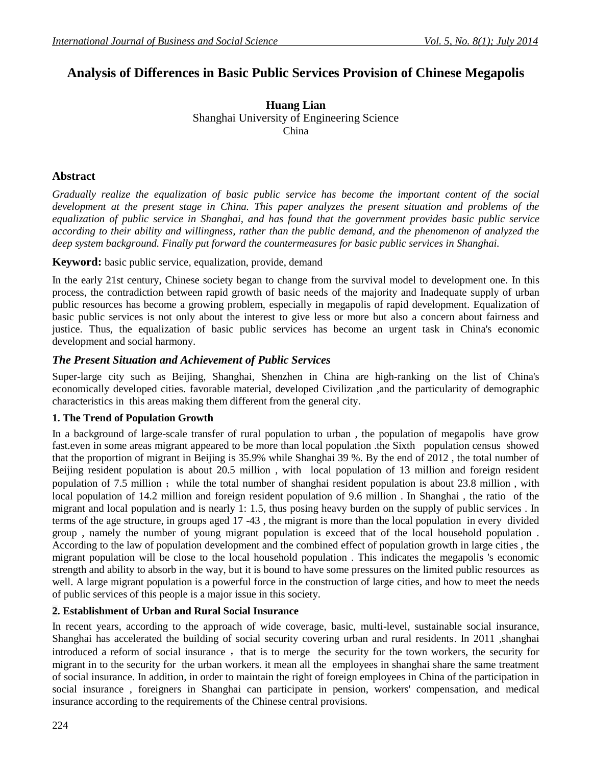# **Analysis of Differences in Basic Public Services Provision of Chinese Megapolis**

**Huang Lian** Shanghai University of Engineering Science China

# **Abstract**

*Gradually realize the equalization of basic public service has become the important content of the social development at the present stage in China. This paper analyzes the present situation and problems of the equalization of public service in Shanghai, and has found that the government provides basic public service according to their ability and willingness, rather than the public demand, and the phenomenon of analyzed the deep system background. Finally put forward the countermeasures for basic public services in Shanghai.* 

**Keyword:** basic public service, equalization, provide, demand

In the early 21st century, Chinese society began to change from the survival model to development one. In this process, the contradiction between rapid growth of basic needs of the majority and Inadequate supply of urban public resources has become a growing problem, especially in megapolis of rapid development. Equalization of basic public services is not only about the interest to give less or more but also a concern about fairness and justice. Thus, the equalization of basic public services has become an urgent task in China's economic development and social harmony.

# *The Present Situation and Achievement of Public Services*

Super-large city such as Beijing, Shanghai, Shenzhen in China are high-ranking on the list of China's economically developed cities. favorable material, developed Civilization ,and the particularity of demographic characteristics in this areas making them different from the general city.

# **1. The Trend of Population Growth**

In a background of large-scale transfer of rural population to urban , the population of megapolis have grow fast.even in some areas migrant appeared to be more than local population .the Sixth population census showed that the proportion of migrant in Beijing is 35.9% while Shanghai 39 %. By the end of 2012 , the total number of Beijing resident population is about 20.5 million , with local population of 13 million and foreign resident population of 7.5 million; while the total number of shanghai resident population is about 23.8 million, with local population of 14.2 million and foreign resident population of 9.6 million . In Shanghai , the ratio of the migrant and local population and is nearly 1: 1.5, thus posing heavy burden on the supply of public services . In terms of the age structure, in groups aged 17 -43 , the migrant is more than the local population in every divided group , namely the number of young migrant population is exceed that of the local household population . According to the law of population development and the combined effect of population growth in large cities , the migrant population will be close to the local household population . This indicates the megapolis 's economic strength and ability to absorb in the way, but it is bound to have some pressures on the limited public resources as well. A large migrant population is a powerful force in the construction of large cities, and how to meet the needs of public services of this people is a major issue in this society.

# **2. Establishment of Urban and Rural Social Insurance**

In recent years, according to the approach of wide coverage, basic, multi-level, sustainable social insurance, Shanghai has accelerated the building of social security covering urban and rural residents. In 2011 ,shanghai introduced a reform of social insurance, that is to merge the security for the town workers, the security for migrant in to the security for the urban workers. it mean all the employees in shanghai share the same treatment of social insurance. In addition, in order to maintain the right of foreign employees in China of the participation in social insurance , foreigners in Shanghai can participate in pension, workers' compensation, and medical insurance according to the requirements of the Chinese central provisions.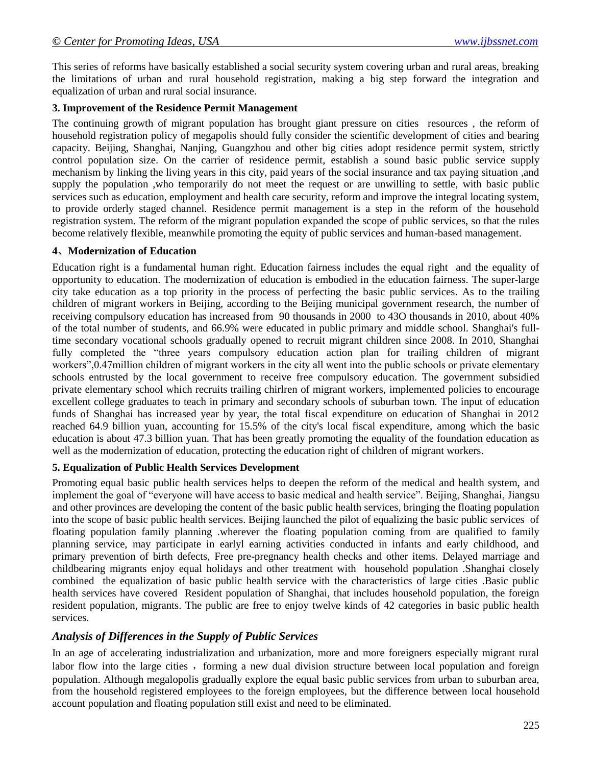This series of reforms have basically established a social security system covering urban and rural areas, breaking the limitations of urban and rural household registration, making a big step forward the integration and equalization of urban and rural social insurance.

#### **3. Improvement of the Residence Permit Management**

The continuing growth of migrant population has brought giant pressure on cities resources , the reform of household registration policy of megapolis should fully consider the scientific development of cities and bearing capacity. Beijing, Shanghai, Nanjing, Guangzhou and other big cities adopt residence permit system, strictly control population size. On the carrier of residence permit, establish a sound basic public service supply mechanism by linking the living years in this city, paid years of the social insurance and tax paying situation ,and supply the population ,who temporarily do not meet the request or are unwilling to settle, with basic public services such as education, employment and health care security, reform and improve the integral locating system, to provide orderly staged channel. Residence permit management is a step in the reform of the household registration system. The reform of the migrant population expanded the scope of public services, so that the rules become relatively flexible, meanwhile promoting the equity of public services and human-based management.

#### **4**、**Modernization of Education**

Education right is a fundamental human right. Education fairness includes the equal right and the equality of opportunity to education. The modernization of education is embodied in the education fairness. The super-large city take education as a top priority in the process of perfecting the basic public services. As to the trailing children of migrant workers in Beijing, according to the Beijing municipal government research, the number of receiving compulsory education has increased from 90 thousands in 2000 to 43O thousands in 2010, about 40% of the total number of students, and 66.9% were educated in public primary and middle school. Shanghai's fulltime secondary vocational schools gradually opened to recruit migrant children since 2008. In 2010, Shanghai fully completed the "three years compulsory education action plan for trailing children of migrant workers",0.47million children of migrant workers in the city all went into the public schools or private elementary schools entrusted by the local government to receive free compulsory education. The government subsidied private elementary school which recruits trailing chirlren of migrant workers, implemented policies to encourage excellent college graduates to teach in primary and secondary schools of suburban town. The input of education funds of Shanghai has increased year by year, the total fiscal expenditure on education of Shanghai in 2012 reached 64.9 billion yuan, accounting for 15.5% of the city's local fiscal expenditure, among which the basic education is about 47.3 billion yuan. That has been greatly promoting the equality of the foundation education as well as the modernization of education, protecting the education right of children of migrant workers.

### **5. Equalization of Public Health Services Development**

Promoting equal basic public health services helps to deepen the reform of the medical and health system, and implement the goal of "everyone will have access to basic medical and health service". Beijing, Shanghai, Jiangsu and other provinces are developing the content of the basic public health services, bringing the floating population into the scope of basic public health services. Beijing launched the pilot of equalizing the basic public services of floating population family planning .wherever the floating population coming from are qualified to family planning service, may participate in earlyl earning activities conducted in infants and early childhood, and primary prevention of birth defects, Free pre-pregnancy health checks and other items. Delayed marriage and childbearing migrants enjoy equal holidays and other treatment with household population .Shanghai closely combined the equalization of basic public health service with the characteristics of large cities .Basic public health services have covered Resident population of Shanghai, that includes household population, the foreign resident population, migrants. The public are free to enjoy twelve kinds of 42 categories in basic public health services.

### *Analysis of Differences in the Supply of Public Services*

In an age of accelerating industrialization and urbanization, more and more foreigners especially migrant rural labor flow into the large cities, forming a new dual division structure between local population and foreign population. Although megalopolis gradually explore the equal basic public services from urban to suburban area, from the household registered employees to the foreign employees, but the difference between local household account population and floating population still exist and need to be eliminated.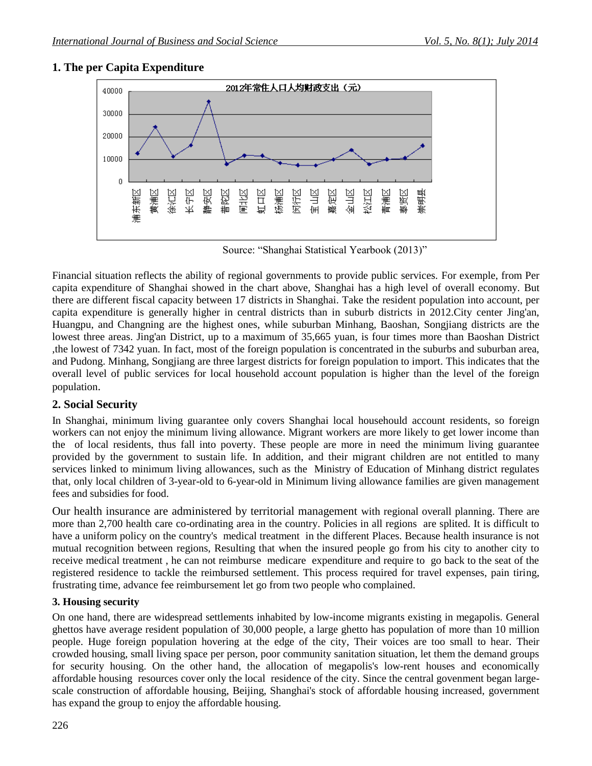### **1. The per Capita Expenditure**



Source: "Shanghai Statistical Yearbook (2013)"

Financial situation reflects the ability of regional governments to provide public services. For exemple, from Per capita expenditure of Shanghai showed in the chart above, Shanghai has a high level of overall economy. But there are different fiscal capacity between 17 districts in Shanghai. Take the resident population into account, per capita expenditure is generally higher in central districts than in suburb districts in 2012.City center Jing'an, Huangpu, and Changning are the highest ones, while suburban Minhang, Baoshan, Songjiang districts are the lowest three areas. Jing'an District, up to a maximum of 35,665 yuan, is four times more than Baoshan District ,the lowest of 7342 yuan. In fact, most of the foreign population is concentrated in the suburbs and suburban area, and Pudong. Minhang, Songjiang are three largest districts for foreign population to import. This indicates that the overall level of public services for local household account population is higher than the level of the foreign population.

# **2. Social Security**

In Shanghai, minimum living guarantee only covers Shanghai local househould account residents, so foreign workers can not enjoy the minimum living allowance. Migrant workers are more likely to get lower income than the of local residents, thus fall into poverty. These people are more in need the minimum living guarantee provided by the government to sustain life. In addition, and their migrant children are not entitled to many services linked to minimum living allowances, such as the Ministry of Education of Minhang district regulates that, only local children of 3-year-old to 6-year-old in Minimum living allowance families are given management fees and subsidies for food.

Our health insurance are administered by territorial management with [regional overall planning.](http://dict.cnki.net/dict.aspx/dict_result.aspx?searchword=%e5%8c%ba%e5%9f%9f%e7%bb%9f%e7%ad%b9&tjType=sentence&style=&t=regional+overall+planning) There are more than 2,700 health care co-ordinating area in the country. Policies in all regions are splited. It is difficult to have a uniform policy on the country's medical treatment in the different Places. Because health insurance is not mutual recognition between regions, Resulting that when the insured people go from his city to another city to receive medical treatment , he can not reimburse medicare expenditure and require to go back to the seat of the registered residence to tackle the reimbursed settlement. This process required for travel expenses, pain tiring, frustrating time, advance fee reimbursement let go from two people who complained.

### **3. Housing security**

On one hand, there are widespread settlements inhabited by low-income migrants existing in megapolis. General ghettos have average resident population of 30,000 people, a large ghetto has population of more than 10 million people. Huge foreign population hovering at the edge of the city, Their voices are too small to hear. Their crowded housing, small living space per person, poor community sanitation situation, let them the demand groups for security housing. On the other hand, the allocation of megapolis's low-rent houses and economically affordable housing resources cover only the local residence of the city. Since the central govenment began largescale construction of affordable housing, Beijing, Shanghai's stock of affordable housing increased, government has expand the group to enjoy the affordable housing.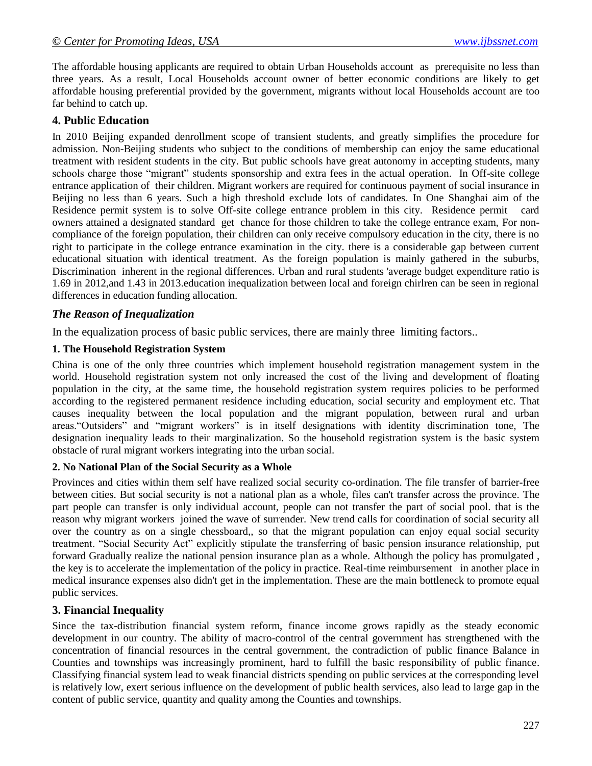The affordable housing applicants are required to obtain Urban Households account as prerequisite no less than three years. As a result, Local Households account owner of better economic conditions are likely to get affordable housing preferential provided by the government, migrants without local Households account are too far behind to catch up.

### **4. Public Education**

In 2010 Beijing expanded denrollment scope of transient students, and greatly simplifies the procedure for admission. Non-Beijing students who subject to the conditions of membership can enjoy the same educational treatment with resident students in the city. But public schools have great autonomy in accepting students, many schools charge those "migrant" students sponsorship and extra fees in the actual operation. In Off-site college entrance application of their children. Migrant workers are required for continuous payment of social insurance in Beijing no less than 6 years. Such a high threshold exclude lots of candidates. In One Shanghai aim of the Residence permit system is to solve Off-site college entrance problem in this city. Residence permit card owners attained a designated standard get chance for those children to take the college entrance exam, For noncompliance of the foreign population, their children can only receive compulsory education in the city, there is no right to participate in the college entrance examination in the city. there is a considerable gap between current educational situation with identical treatment. As the foreign population is mainly gathered in the suburbs, Discrimination inherent in the regional differences. Urban and rural [students 'average budget expenditure](http://dict.cnki.net/dict.aspx/dict_result.aspx?searchword=%C9%FA%BE%F9%BE%AD%B7%D1&tjType=sentence&style=&t=students+) ratio is 1.69 in 2012,and 1.43 in 2013.education inequalization between local and foreign chirlren can be seen in regional differences in education funding allocation.

### *The Reason of Inequalization*

In the equalization process of basic public services, there are mainly three limiting factors..

#### **1. The Household Registration System**

China is one of the only three countries which implement household registration management system in the world. Household registration system not only increased the cost of the living and development of floating population in the city, at the same time, the household registration system requires policies to be performed according to the registered permanent residence including education, social security and employment etc. That causes inequality between the local population and the migrant population, between rural and urban areas."Outsiders" and "migrant workers" is in itself designations with identity discrimination tone, The designation inequality leads to their marginalization. So the household registration system is the basic system obstacle of rural migrant workers integrating into the urban social.

### **2. No National Plan of the Social Security as a Whole**

Provinces and cities within them self have realized social security co-ordination. The file transfer of barrier-free between cities. But social security is not a national plan as a whole, files can't transfer across the province. The part people can transfer is only individual account, people can not transfer the part of social pool. that is the reason why migrant workers joined the wave of surrender. New trend calls for coordination of social security all over the country as on a single chessboard,, so that the migrant population can enjoy equal social security treatment. "Social Security Act" explicitly stipulate the transferring of basic pension insurance relationship, put forward Gradually realize the national pension insurance plan as a whole. Although the policy has promulgated , the key is to accelerate the implementation of the policy in practice. Real-time reimbursement in another place in medical insurance expenses also didn't get in the implementation. These are the main bottleneck to promote equal public services.

### **3. Financial Inequality**

Since the tax-distribution financial system reform, finance income grows rapidly as the steady economic development in our country. The ability of macro-control of the central government has strengthened with the concentration of financial resources in the central government, the contradiction of public finance Balance in Counties and townships was increasingly prominent, hard to fulfill the basic responsibility of public finance. Classifying financial system lead to weak financial districts spending on public services at the corresponding level is relatively low, exert serious influence on the development of public health services, also lead to large gap in the content of public service, quantity and quality among the Counties and townships.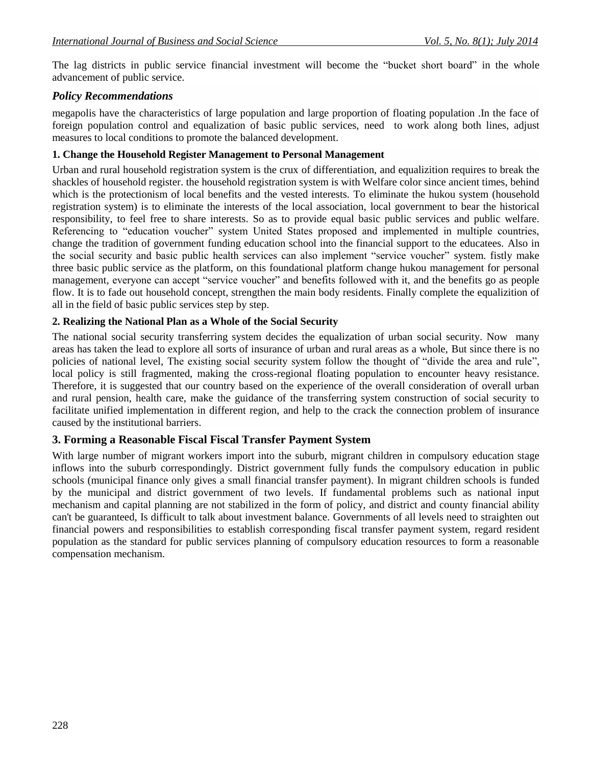The lag districts in public service financial investment will become the "bucket short board" in the whole advancement of public service.

### *Policy Recommendations*

megapolis have the characteristics of large population and large proportion of floating population .In the face of foreign population control and equalization of basic public services, need to work along both lines, adjust measures to local conditions to promote the balanced development.

#### **1. Change the Household Register Management to Personal Management**

Urban and rural household registration system is the crux of differentiation, and equalizition requires to break the shackles of household register. the household registration system is with Welfare color since ancient times, behind which is the protectionism of local benefits and the vested interests. To eliminate the hukou system (household registration system) is to eliminate the interests of the local association, local government to bear the historical responsibility, to feel free to share interests. So as to provide equal basic public services and public welfare. Referencing to "education voucher" system United States proposed and implemented in multiple countries, change the tradition of government funding education school into the financial support to the educatees. Also in the social security and basic public health services can also implement "service voucher" system. fistly make three basic public service as the platform, on this foundational platform change hukou management for personal management, everyone can accept "service voucher" and benefits followed with it, and the benefits go as people flow. It is to fade out household concept, strengthen the main body residents. Finally complete the equalizition of all in the field of basic public services step by step.

#### **2. Realizing the National Plan as a Whole of the Social Security**

The national social security transferring system decides the equalization of urban social security. Now many areas has taken the lead to explore all sorts of insurance of urban and rural areas as a whole, But since there is no policies of national level, The existing social security system follow the thought of "divide the area and rule", local policy is still fragmented, making the cross-regional floating population to encounter heavy resistance. Therefore, it is suggested that our country based on the experience of the overall consideration of overall urban and rural pension, health care, make the guidance of the transferring system construction of social security to facilitate unified implementation in different region, and help to the crack the connection problem of insurance caused by the institutional barriers.

### **3. Forming a Reasonable Fiscal Fiscal Transfer Payment System**

With large number of migrant workers import into the suburb, migrant children in compulsory education stage inflows into the suburb correspondingly. District government fully funds the compulsory education in public schools (municipal finance only gives a small financial transfer payment). In migrant children schools is funded by the municipal and district government of two levels. If fundamental problems such as national input mechanism and capital planning are not stabilized in the form of policy, and district and county financial ability can't be guaranteed, Is difficult to talk about investment balance. Governments of all levels need to straighten out financial powers and responsibilities to establish corresponding fiscal transfer payment system, regard resident population as the standard for public services planning of compulsory education resources to form a reasonable compensation mechanism.